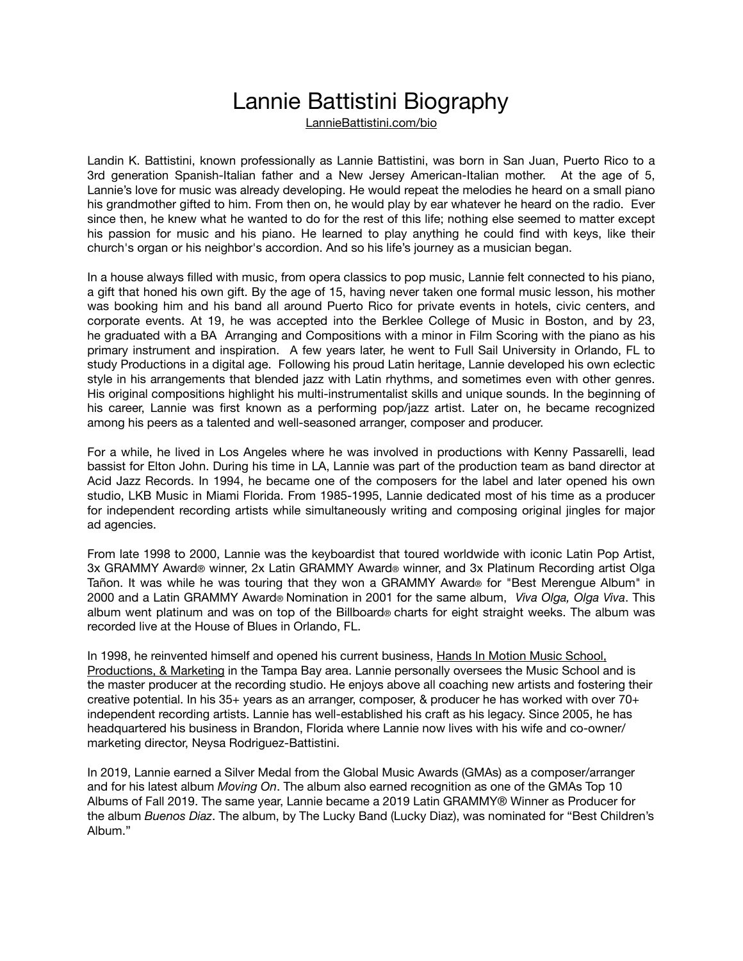## Lannie Battistini Biography

[LannieBattistini.com/bio](http://LannieBattistini.com/bio)

Landin K. Battistini, known professionally as Lannie Battistini, was born in San Juan, Puerto Rico to a 3rd generation Spanish-Italian father and a New Jersey American-Italian mother. At the age of 5, Lannie's love for music was already developing. He would repeat the melodies he heard on a small piano his grandmother gifted to him. From then on, he would play by ear whatever he heard on the radio. Ever since then, he knew what he wanted to do for the rest of this life; nothing else seemed to matter except his passion for music and his piano. He learned to play anything he could find with keys, like their church's organ or his neighbor's accordion. And so his life's journey as a musician began.

In a house always filled with music, from opera classics to pop music, Lannie felt connected to his piano, a gift that honed his own gift. By the age of 15, having never taken one formal music lesson, his mother was booking him and his band all around Puerto Rico for private events in hotels, civic centers, and corporate events. At 19, he was accepted into the Berklee College of Music in Boston, and by 23, he graduated with a BA Arranging and Compositions with a minor in Film Scoring with the piano as his primary instrument and inspiration. A few years later, he went to Full Sail University in Orlando, FL to study Productions in a digital age. Following his proud Latin heritage, Lannie developed his own eclectic style in his arrangements that blended jazz with Latin rhythms, and sometimes even with other genres. His original compositions highlight his multi-instrumentalist skills and unique sounds. In the beginning of his career, Lannie was first known as a performing pop/jazz artist. Later on, he became recognized among his peers as a talented and well-seasoned arranger, composer and producer.

For a while, he lived in Los Angeles where he was involved in productions with Kenny Passarelli, lead bassist for Elton John. During his time in LA, Lannie was part of the production team as band director at Acid Jazz Records. In 1994, he became one of the composers for the label and later opened his own studio, LKB Music in Miami Florida. From 1985-1995, Lannie dedicated most of his time as a producer for independent recording artists while simultaneously writing and composing original jingles for major ad agencies.

From late 1998 to 2000, Lannie was the keyboardist that toured worldwide with iconic Latin Pop Artist, 3x GRAMMY Award® winner, 2x Latin GRAMMY Award® winner, and 3x Platinum Recording artist Olga Tañon. It was while he was touring that they won a GRAMMY Award® for "Best Merengue Album" in 2000 and a Latin GRAMMY Award® Nomination in 2001 for the same album, *Viva Olga, Olga Viva*. This album went platinum and was on top of the Billboard® charts for eight straight weeks. The album was recorded live at the House of Blues in Orlando, FL.

In 1998, he reinvented himself and opened his current business, [Hands In Motion Music School,](https://www.handsinmotionmusic.com/)  [Productions, & Marketing](https://www.handsinmotionmusic.com/) in the Tampa Bay area. Lannie personally oversees the Music School and is the master producer at the recording studio. He enjoys above all coaching new artists and fostering their creative potential. In his 35+ years as an arranger, composer, & producer he has worked with over 70+ independent recording artists. Lannie has well-established his craft as his legacy. Since 2005, he has headquartered his business in Brandon, Florida where Lannie now lives with his wife and co-owner/ marketing director, Neysa Rodriguez-Battistini.

In 2019, Lannie earned a Silver Medal from the Global Music Awards (GMAs) as a composer/arranger and for his latest album *Moving On*. The album also earned recognition as one of the GMAs Top 10 Albums of Fall 2019. The same year, Lannie became a 2019 Latin GRAMMY® Winner as Producer for the album *Buenos Diaz*. The album, by The Lucky Band (Lucky Diaz), was nominated for "Best Children's Album."